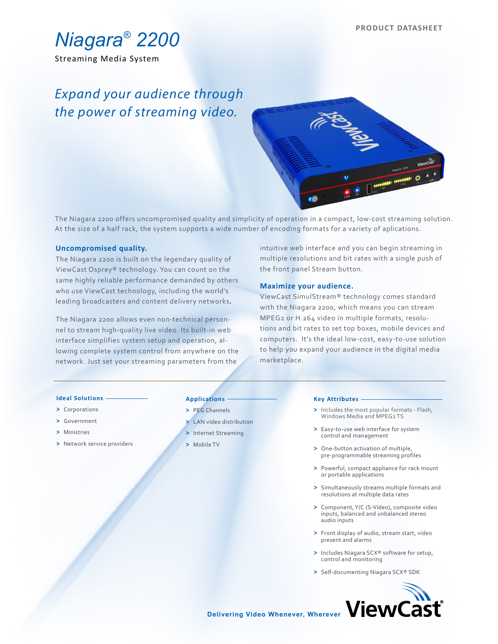

Streaming Media System

# *Expand your audience through the power of streaming video.*



The Niagara 2200 offers uncompromised quality and simplicity of operation in a compact, low-cost streaming solution. At the size of a half rack, the system supports a wide number of encoding formats for a variety of aplications.

### **Uncompromised quality.**

The Niagara 2200 is built on the legendary quality of ViewCast Osprey® technology. You can count on the same highly reliable performance demanded by others who use ViewCast technology, including the world's leading broadcasters and content delivery networks.

The Niagara 2200 allows even non-technical personnel to stream high-quality live video. Its built-in web interface simplifies system setup and operation, allowing complete system control from anywhere on the network. Just set your streaming parameters from the

intuitive web interface and you can begin streaming in multiple resolutions and bit rates with a single push of the front panel Stream button.

## **Maximize your audience.**

ViewCast SimulStream® technology comes standard with the Niagara 2200, which means you can stream MPEG2 or H.264 video in multiple formats, resolutions and bit rates to set top boxes, mobile devices and computers. It's the ideal low-cost, easy-to-use solution to help you expand your audience in the digital media marketplace.

#### **Ideal Solutions**

- **>** Corporations
- **>** Government
- **>** Ministries
- **>** Network service providers

# **Applications**

- **>** PEG Channels
- **>** LAN video distribution
- **>** Internet Streaming
- **>** Mobile TV

#### **Key Attributes**

- **>** Includes the most popular formats Flash, Windows Media and MPEG2 TS
- **>** Easy-to-use web interface for system control and management
- **>** One-button activation of multiple, pre-programmable streaming profiles
- **>** Powerful, compact appliance for rack mount or portable applications
- **>** Simultaneously streams multiple formats and resolutions at multiple data rates
- **>** Component, Y/C (S-Video), composite video inputs, balanced and unbalanced stereo audio inputs
- **>** Front display of audio, stream start, video present and alarms
- **>** Includes Niagara SCX® software for setup, control and monitoring
- **>** Self-documenting Niagara SCX® SDK



**Delivering Video Whenever, Wherever**